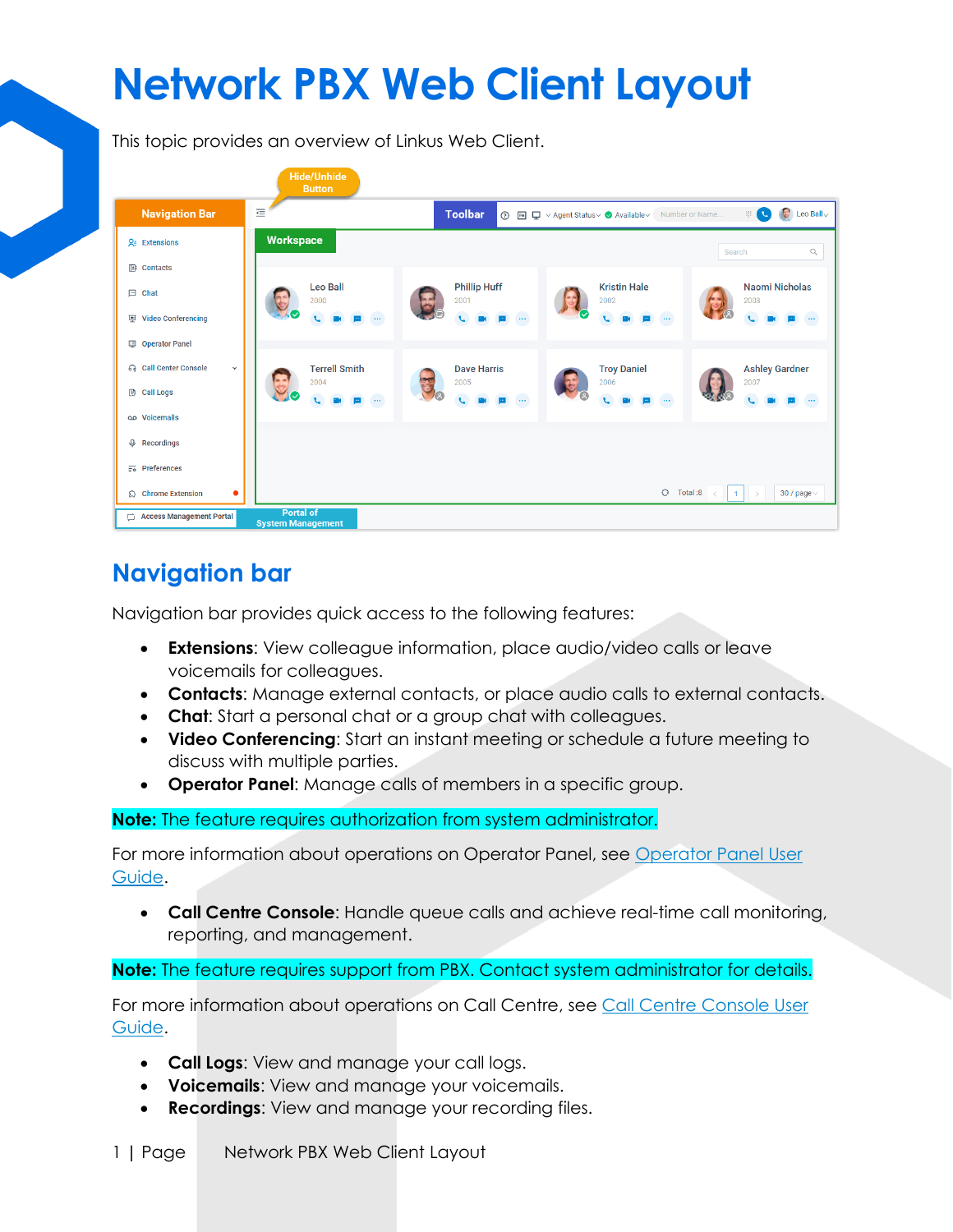# **Network PBX Web Client Layout**

This topic provides an overview of Linkus Web Client.

|                                              | <b>Hide/Unhide</b><br><b>Button</b>                                                                                                                                                                                            |
|----------------------------------------------|--------------------------------------------------------------------------------------------------------------------------------------------------------------------------------------------------------------------------------|
| <b>Navigation Bar</b>                        | $\equiv$<br><b>B</b><br><b>Toolbar</b><br>$\begin{array}{c} \begin{array}{c} \begin{array}{c} \end{array} \\ \end{array} \end{array}$<br>Leo Ball $\vee$<br>Number or Name<br>$^{\circ}$<br>■ ロ v Agent Status v & Available v |
| $Qz$ Extensions                              | <b>Workspace</b><br>$\hbox{\ensuremath{\mathsf{Q}}\xspace}$<br>Search                                                                                                                                                          |
| $\mathbb{E}$ Contacts                        |                                                                                                                                                                                                                                |
| $\Box$ Chat                                  | <b>Leo Ball</b><br><b>Phillip Huff</b><br><b>Kristin Hale</b><br><b>Naomi Nicholas</b><br>2000<br>2001<br>2002<br>2003                                                                                                         |
| <b>Video Conferencing</b><br>匣               | $\cdots$<br>$\cdots$<br>$\cdots$<br>$\ldots$                                                                                                                                                                                   |
| <b>ID</b> Operator Panel                     |                                                                                                                                                                                                                                |
| <b>G</b> Call Center Console<br>$\checkmark$ | <b>Terrell Smith</b><br><b>Ashley Gardner</b><br><b>Dave Harris</b><br><b>Troy Daniel</b>                                                                                                                                      |
| <b>B</b> Call Logs                           | 2004<br>2006<br>2007<br>2005<br>E<br>$\cdots$<br>Œ.<br>$\ldots$<br>$\cdots$<br>J                                                                                                                                               |
| op Voicemails                                |                                                                                                                                                                                                                                |
| Q Recordings                                 |                                                                                                                                                                                                                                |
| $\overline{z_0}$ Preferences                 |                                                                                                                                                                                                                                |
| <b>Chrome Extension</b><br>٠                 | $O$ Total :8<br>30 / page $\vee$<br>1                                                                                                                                                                                          |
| <b>Access Management Portal</b><br>$\Box$    | <b>Portal of</b><br><b>System Management</b>                                                                                                                                                                                   |

### **Navigation bar**

Navigation bar provides quick access to the following features:

- **Extensions**: View colleague information, place audio/video calls or leave voicemails for colleagues.
- **Contacts**: Manage external contacts, or place audio calls to external contacts.
- **Chat**: Start a personal chat or a group chat with colleagues.
- **Video Conferencing**: Start an instant meeting or schedule a future meeting to discuss with multiple parties.
- **Operator Panel**: Manage calls of members in a specific group.

#### **Note:** The feature requires authorization from system administrator.

For more information about operations on Operator Panel, see Operator Panel User [Guide.](https://help.yeastar.com/en/p-series-cloud-edition/operator-panel-user-guide/about-this-guide.html)

• **Call Centre Console**: Handle queue calls and achieve real-time call monitoring, reporting, and management.

**Note:** The feature requires support from PBX. Contact system administrator for details.

For more information about operations on Call Centre, see Call Centre [Console User](https://help.yeastar.com/en/p-series-cloud-edition/call-center-console-user-guide/about-this-guide.html)  [Guide.](https://help.yeastar.com/en/p-series-cloud-edition/call-center-console-user-guide/about-this-guide.html)

- **Call Logs**: View and manage your call logs.
- **Voicemails**: View and manage your voicemails.
- **Recordings:** View and manage your recording files.
- 1 **|** Page Network PBX Web Client Layout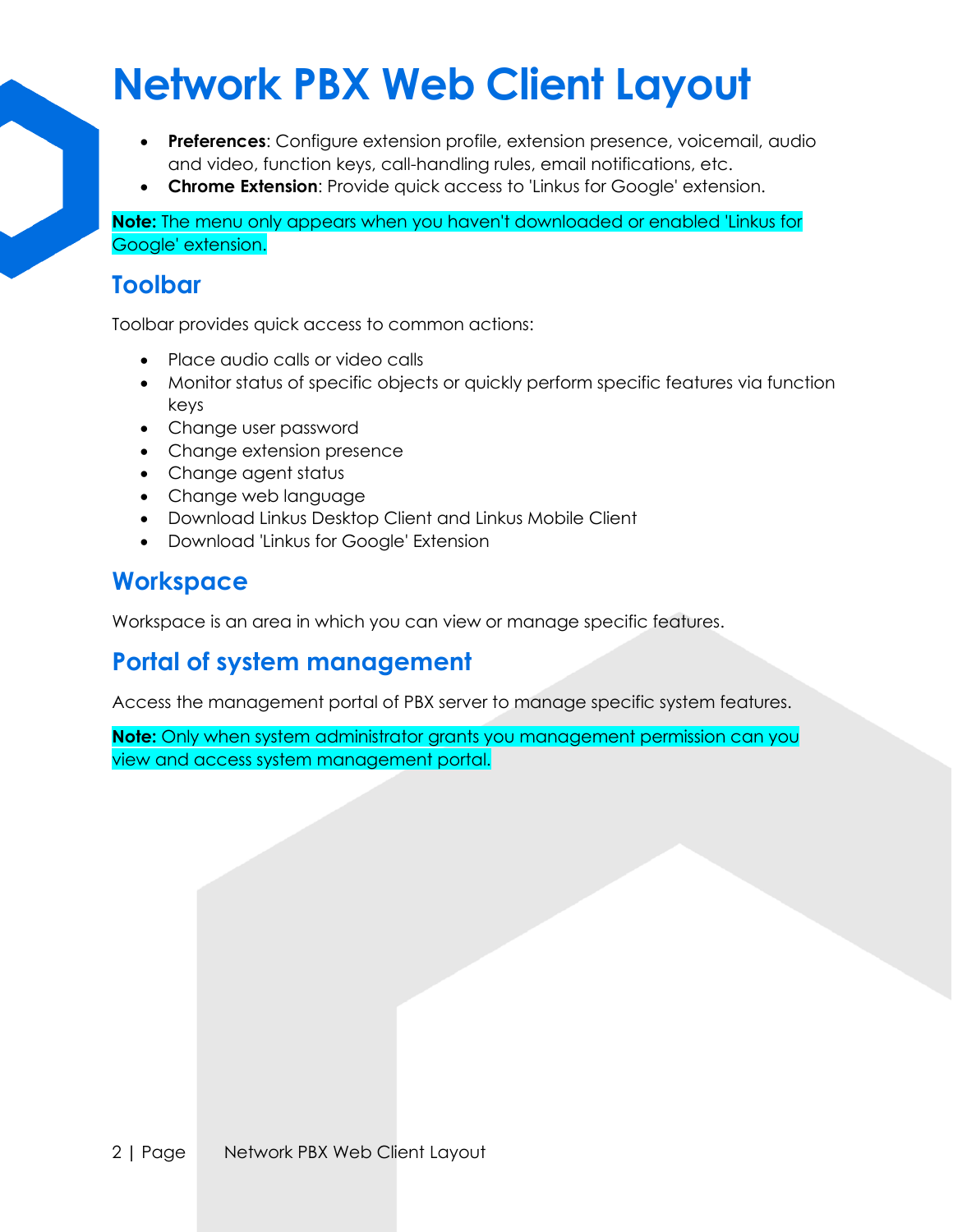## **Network PBX Web Client Layout**

- **Preferences**: Configure extension profile, extension presence, voicemail, audio and video, function keys, call-handling rules, email notifications, etc.
- **Chrome Extension**: Provide quick access to 'Linkus for Google' extension.

**Note:** The menu only appears when you haven't downloaded or enabled 'Linkus for Google' extension.

#### **Toolbar**

Toolbar provides quick access to common actions:

- Place audio calls or video calls
- Monitor status of specific objects or quickly perform specific features via function keys
- Change user password
- Change extension presence
- Change agent status
- Change web language
- Download Linkus Desktop Client and Linkus Mobile Client
- Download 'Linkus for Google' Extension

#### **Workspace**

Workspace is an area in which you can view or manage specific features.

#### **Portal of system management**

Access the management portal of PBX server to manage specific system features.

**Note:** Only when system administrator grants you management permission can you view and access system management portal.